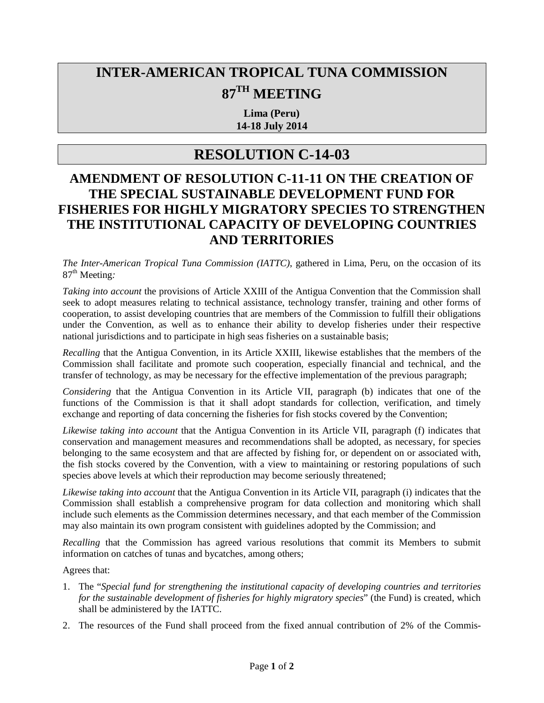## **INTER-AMERICAN TROPICAL TUNA COMMISSION 87TH MEETING**

**Lima (Peru) 14-18 July 2014**

## **RESOLUTION C-14-03**

## **AMENDMENT OF RESOLUTION C-11-11 ON THE CREATION OF THE SPECIAL SUSTAINABLE DEVELOPMENT FUND FOR FISHERIES FOR HIGHLY MIGRATORY SPECIES TO STRENGTHEN THE INSTITUTIONAL CAPACITY OF DEVELOPING COUNTRIES AND TERRITORIES**

*The Inter-American Tropical Tuna Commission (IATTC)*, gathered in Lima, Peru, on the occasion of its 87<sup>th</sup> Meeting:

*Taking into account* the provisions of Article XXIII of the Antigua Convention that the Commission shall seek to adopt measures relating to technical assistance, technology transfer, training and other forms of cooperation, to assist developing countries that are members of the Commission to fulfill their obligations under the Convention, as well as to enhance their ability to develop fisheries under their respective national jurisdictions and to participate in high seas fisheries on a sustainable basis;

*Recalling* that the Antigua Convention, in its Article XXIII, likewise establishes that the members of the Commission shall facilitate and promote such cooperation, especially financial and technical, and the transfer of technology, as may be necessary for the effective implementation of the previous paragraph;

*Considering* that the Antigua Convention in its Article VII, paragraph (b) indicates that one of the functions of the Commission is that it shall adopt standards for collection, verification, and timely exchange and reporting of data concerning the fisheries for fish stocks covered by the Convention;

*Likewise taking into account* that the Antigua Convention in its Article VII, paragraph (f) indicates that conservation and management measures and recommendations shall be adopted, as necessary, for species belonging to the same ecosystem and that are affected by fishing for, or dependent on or associated with, the fish stocks covered by the Convention, with a view to maintaining or restoring populations of such species above levels at which their reproduction may become seriously threatened;

*Likewise taking into account* that the Antigua Convention in its Article VII, paragraph (i) indicates that the Commission shall establish a comprehensive program for data collection and monitoring which shall include such elements as the Commission determines necessary, and that each member of the Commission may also maintain its own program consistent with guidelines adopted by the Commission; and

*Recalling* that the Commission has agreed various resolutions that commit its Members to submit information on catches of tunas and bycatches, among others;

Agrees that:

- 1. The "*Special fund for strengthening the institutional capacity of developing countries and territories for the sustainable development of fisheries for highly migratory species*" (the Fund) is created, which shall be administered by the IATTC.
- 2. The resources of the Fund shall proceed from the fixed annual contribution of 2% of the Commis-